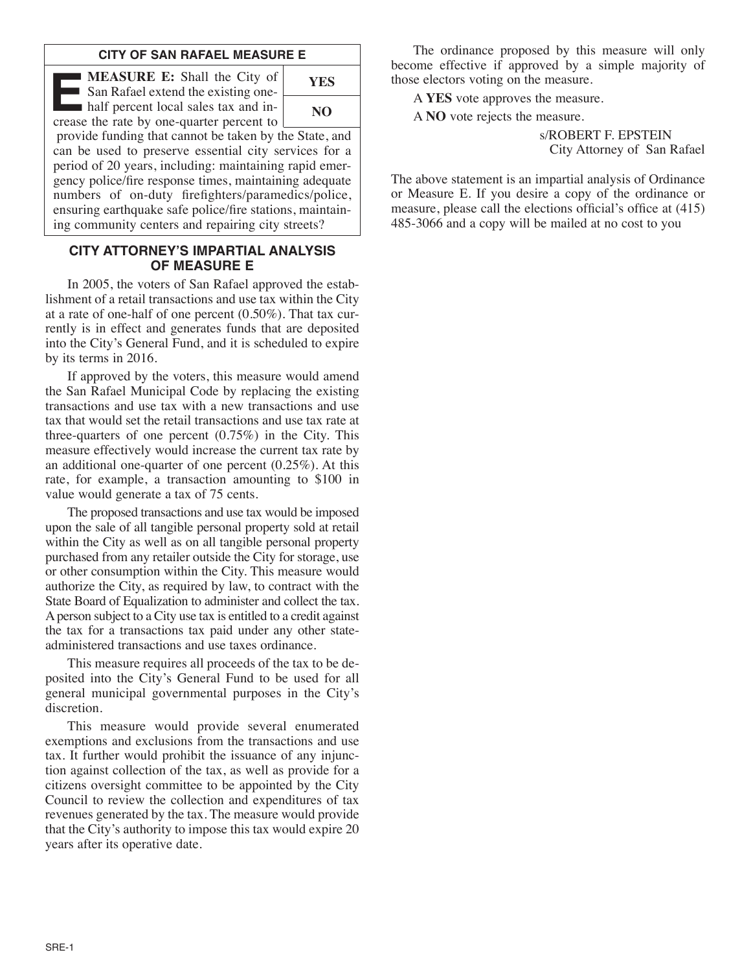## **CITY OF SAN RAFAEL MEASURE E**

**E MEASURE E:** Shall the City of San Rafael extend the existing onehalf percent local sales tax and increase the rate by one-quarter percent to



provide funding that cannot be taken by the State, and can be used to preserve essential city services for a period of 20 years, including: maintaining rapid emergency police/fire response times, maintaining adequate numbers of on-duty firefighters/paramedics/police, ensuring earthquake safe police/fire stations, maintaining community centers and repairing city streets?

## **CITY ATTORNEY'S IMPARTIAL ANALYSIS OF MEASURE E**

In 2005, the voters of San Rafael approved the establishment of a retail transactions and use tax within the City at a rate of one-half of one percent (0.50%). That tax currently is in effect and generates funds that are deposited into the City's General Fund, and it is scheduled to expire by its terms in 2016.

If approved by the voters, this measure would amend the San Rafael Municipal Code by replacing the existing transactions and use tax with a new transactions and use tax that would set the retail transactions and use tax rate at three-quarters of one percent (0.75%) in the City. This measure effectively would increase the current tax rate by an additional one-quarter of one percent (0.25%). At this rate, for example, a transaction amounting to \$100 in value would generate a tax of 75 cents.

The proposed transactions and use tax would be imposed upon the sale of all tangible personal property sold at retail within the City as well as on all tangible personal property purchased from any retailer outside the City for storage, use or other consumption within the City. This measure would authorize the City, as required by law, to contract with the State Board of Equalization to administer and collect the tax. Aperson subject to a City use tax is entitled to a credit against the tax for a transactions tax paid under any other stateadministered transactions and use taxes ordinance.

This measure requires all proceeds of the tax to be deposited into the City's General Fund to be used for all general municipal governmental purposes in the City's discretion.

This measure would provide several enumerated exemptions and exclusions from the transactions and use tax. It further would prohibit the issuance of any injunction against collection of the tax, as well as provide for a citizens oversight committee to be appointed by the City Council to review the collection and expenditures of tax revenues generated by the tax. The measure would provide that the City's authority to impose this tax would expire 20 years after its operative date.

The ordinance proposed by this measure will only become effective if approved by a simple majority of those electors voting on the measure.

A **YES** vote approves the measure.

A **NO** vote rejects the measure.

s/ROBERT F. EPSTEIN City Attorney of San Rafael

The above statement is an impartial analysis of Ordinance or Measure E. If you desire a copy of the ordinance or measure, please call the elections official's office at (415) 485-3066 and a copy will be mailed at no cost to you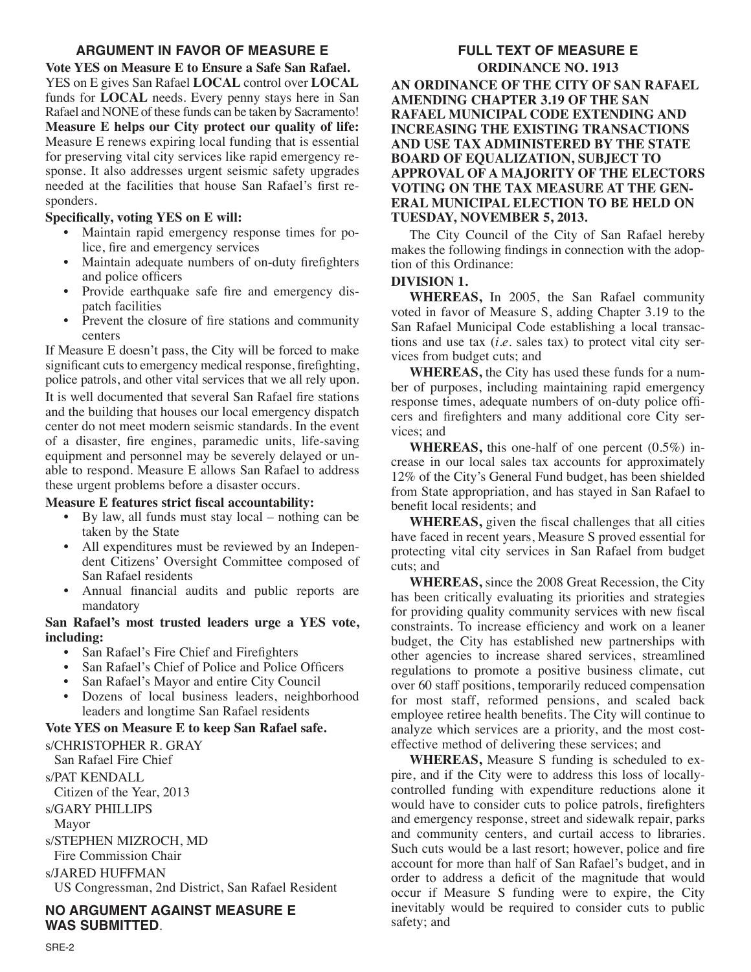## **ARGUMENT IN FAVOR OF MEASURE E**

**Vote YES on Measure E to Ensure a Safe San Rafael.** YES on E gives San Rafael **LOCAL** control over **LOCAL** funds for **LOCAL** needs. Every penny stays here in San Rafael and NONE of these funds can be taken by Sacramento! **Measure E helps our City protect our quality of life:** Measure E renews expiring local funding that is essential for preserving vital city services like rapid emergency response. It also addresses urgent seismic safety upgrades needed at the facilities that house San Rafael's first responders.

## **Specifically, voting YES on E will:**

- Maintain rapid emergency response times for police, fire and emergency services
- Maintain adequate numbers of on-duty firefighters and police officers
- Provide earthquake safe fire and emergency dispatch facilities
- Prevent the closure of fire stations and community centers

If Measure E doesn't pass, the City will be forced to make significant cuts to emergency medical response, firefighting, police patrols, and other vital services that we all rely upon.

It is well documented that several San Rafael fire stations and the building that houses our local emergency dispatch center do not meet modern seismic standards. In the event of a disaster, fire engines, paramedic units, life-saving equipment and personnel may be severely delayed or unable to respond. Measure E allows San Rafael to address these urgent problems before a disaster occurs.

## **Measure E features strict fiscal accountability:**

- By law, all funds must stay local nothing can be taken by the State
- All expenditures must be reviewed by an Independent Citizens' Oversight Committee composed of San Rafael residents
- Annual financial audits and public reports are mandatory

## **San Rafael's most trusted leaders urge a YES vote, including:**

- San Rafael's Fire Chief and Firefighters
- San Rafael's Chief of Police and Police Officers
- San Rafael's Mayor and entire City Council
- Dozens of local business leaders, neighborhood leaders and longtime San Rafael residents

### **Vote YES on Measure E to keep San Rafael safe.**

s/CHRISTOPHER R. GRAY San Rafael Fire Chief

s/PAT KENDALL

Citizen of the Year, 2013

s/GARY PHILLIPS

Mayor

s/STEPHEN MIZROCH, MD

Fire Commission Chair

s/JARED HUFFMAN

US Congressman, 2nd District, San Rafael Resident

## **NO ARGUMENT AGAINST MEASURE E WAS SUBMITTED**.

## **FULL TEXT OF MEASURE E ORDINANCE NO. 1913 AN ORDINANCE OF THE CITY OF SAN RAFAEL AMENDING CHAPTER 3.19 OF THE SAN RAFAEL MUNICIPAL CODE EXTENDING AND INCREASING THE EXISTING TRANSACTIONS AND USE TAX ADMINISTERED BY THE STATE BOARD OF EQUALIZATION, SUBJECT TO APPROVAL OF A MAJORITY OF THE ELECTORS VOTING ON THE TAX MEASURE AT THE GEN-ERAL MUNICIPAL ELECTION TO BE HELD ON TUESDAY, NOVEMBER 5, 2013.**

The City Council of the City of San Rafael hereby makes the following findings in connection with the adoption of this Ordinance:

## **DIVISION 1.**

**WHEREAS,** In 2005, the San Rafael community voted in favor of Measure S, adding Chapter 3.19 to the San Rafael Municipal Code establishing a local transactions and use tax (*i.e.* sales tax) to protect vital city services from budget cuts; and

**WHEREAS,** the City has used these funds for a number of purposes, including maintaining rapid emergency response times, adequate numbers of on-duty police officers and firefighters and many additional core City services; and

**WHEREAS,** this one-half of one percent (0.5%) increase in our local sales tax accounts for approximately 12% of the City's General Fund budget, has been shielded from State appropriation, and has stayed in San Rafael to benefit local residents; and

**WHEREAS,** given the fiscal challenges that all cities have faced in recent years, Measure S proved essential for protecting vital city services in San Rafael from budget cuts; and

**WHEREAS,** since the 2008 Great Recession, the City has been critically evaluating its priorities and strategies for providing quality community services with new fiscal constraints. To increase efficiency and work on a leaner budget, the City has established new partnerships with other agencies to increase shared services, streamlined regulations to promote a positive business climate, cut over 60 staff positions, temporarily reduced compensation for most staff, reformed pensions, and scaled back employee retiree health benefits. The City will continue to analyze which services are a priority, and the most costeffective method of delivering these services; and

**WHEREAS,** Measure S funding is scheduled to expire, and if the City were to address this loss of locallycontrolled funding with expenditure reductions alone it would have to consider cuts to police patrols, firefighters and emergency response, street and sidewalk repair, parks and community centers, and curtail access to libraries. Such cuts would be a last resort; however, police and fire account for more than half of San Rafael's budget, and in order to address a deficit of the magnitude that would occur if Measure S funding were to expire, the City inevitably would be required to consider cuts to public safety; and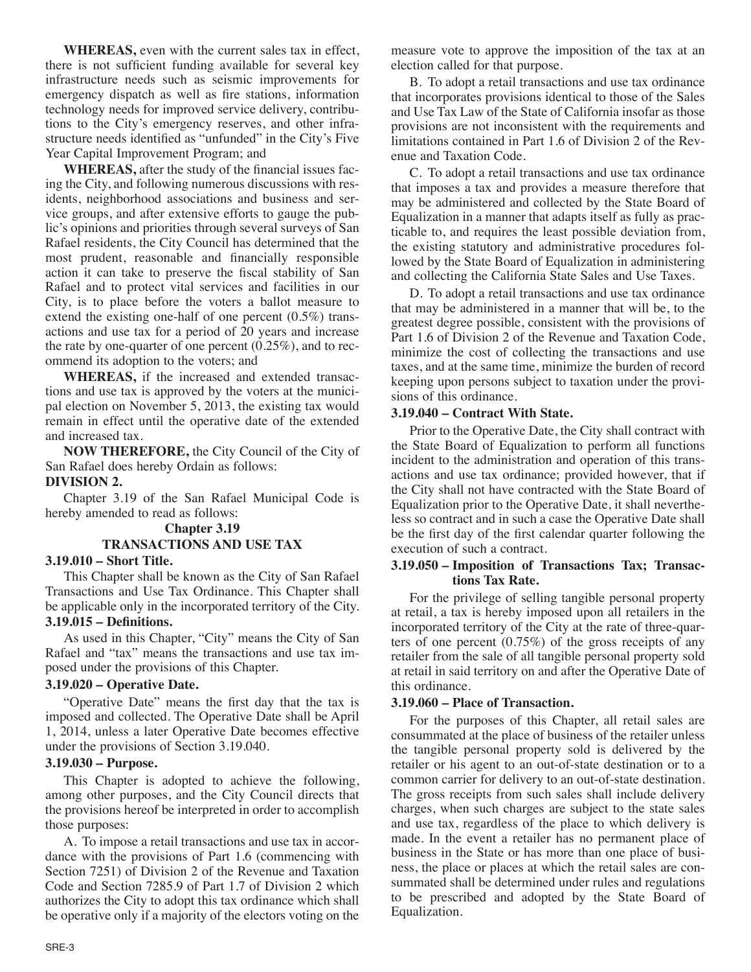**WHEREAS,** even with the current sales tax in effect, there is not sufficient funding available for several key infrastructure needs such as seismic improvements for emergency dispatch as well as fire stations, information technology needs for improved service delivery, contributions to the City's emergency reserves, and other infrastructure needs identified as "unfunded" in the City's Five Year Capital Improvement Program; and

**WHEREAS,** after the study of the financial issues facing the City, and following numerous discussions with residents, neighborhood associations and business and service groups, and after extensive efforts to gauge the public's opinions and priorities through several surveys of San Rafael residents, the City Council has determined that the most prudent, reasonable and financially responsible action it can take to preserve the fiscal stability of San Rafael and to protect vital services and facilities in our City, is to place before the voters a ballot measure to extend the existing one-half of one percent (0.5%) transactions and use tax for a period of 20 years and increase the rate by one-quarter of one percent  $(0.25\%)$ , and to recommend its adoption to the voters; and

**WHEREAS,** if the increased and extended transactions and use tax is approved by the voters at the municipal election on November 5, 2013, the existing tax would remain in effect until the operative date of the extended and increased tax.

**NOW THEREFORE,** the City Council of the City of San Rafael does hereby Ordain as follows:

## **DIVISION 2.**

Chapter 3.19 of the San Rafael Municipal Code is hereby amended to read as follows:

## **Chapter 3.19 TRANSACTIONS AND USE TAX 3.19.010 – Short Title.**

This Chapter shall be known as the City of San Rafael Transactions and Use Tax Ordinance. This Chapter shall

be applicable only in the incorporated territory of the City. **3.19.015 – Definitions.**

As used in this Chapter, "City" means the City of San Rafael and "tax" means the transactions and use tax imposed under the provisions of this Chapter.

### **3.19.020 – Operative Date.**

"Operative Date" means the first day that the tax is imposed and collected. The Operative Date shall be April 1, 2014, unless a later Operative Date becomes effective under the provisions of Section 3.19.040.

### **3.19.030 – Purpose.**

This Chapter is adopted to achieve the following, among other purposes, and the City Council directs that the provisions hereof be interpreted in order to accomplish those purposes:

A. To impose a retail transactions and use tax in accordance with the provisions of Part 1.6 (commencing with Section 7251) of Division 2 of the Revenue and Taxation Code and Section 7285.9 of Part 1.7 of Division 2 which authorizes the City to adopt this tax ordinance which shall be operative only if a majority of the electors voting on the measure vote to approve the imposition of the tax at an election called for that purpose.

B. To adopt a retail transactions and use tax ordinance that incorporates provisions identical to those of the Sales and Use Tax Law of the State of California insofar as those provisions are not inconsistent with the requirements and limitations contained in Part 1.6 of Division 2 of the Revenue and Taxation Code.

C. To adopt a retail transactions and use tax ordinance that imposes a tax and provides a measure therefore that may be administered and collected by the State Board of Equalization in a manner that adapts itself as fully as practicable to, and requires the least possible deviation from, the existing statutory and administrative procedures followed by the State Board of Equalization in administering and collecting the California State Sales and Use Taxes.

D. To adopt a retail transactions and use tax ordinance that may be administered in a manner that will be, to the greatest degree possible, consistent with the provisions of Part 1.6 of Division 2 of the Revenue and Taxation Code, minimize the cost of collecting the transactions and use taxes, and at the same time, minimize the burden of record keeping upon persons subject to taxation under the provisions of this ordinance.

## **3.19.040 – Contract With State.**

Prior to the Operative Date, the City shall contract with the State Board of Equalization to perform all functions incident to the administration and operation of this transactions and use tax ordinance; provided however, that if the City shall not have contracted with the State Board of Equalization prior to the Operative Date, it shall nevertheless so contract and in such a case the Operative Date shall be the first day of the first calendar quarter following the execution of such a contract.

### **3.19.050 – Imposition of Transactions Tax; Transactions Tax Rate.**

For the privilege of selling tangible personal property at retail, a tax is hereby imposed upon all retailers in the incorporated territory of the City at the rate of three-quarters of one percent (0.75%) of the gross receipts of any retailer from the sale of all tangible personal property sold at retail in said territory on and after the Operative Date of this ordinance.

### **3.19.060 – Place of Transaction.**

For the purposes of this Chapter, all retail sales are consummated at the place of business of the retailer unless the tangible personal property sold is delivered by the retailer or his agent to an out-of-state destination or to a common carrier for delivery to an out-of-state destination. The gross receipts from such sales shall include delivery charges, when such charges are subject to the state sales and use tax, regardless of the place to which delivery is made. In the event a retailer has no permanent place of business in the State or has more than one place of business, the place or places at which the retail sales are consummated shall be determined under rules and regulations to be prescribed and adopted by the State Board of Equalization.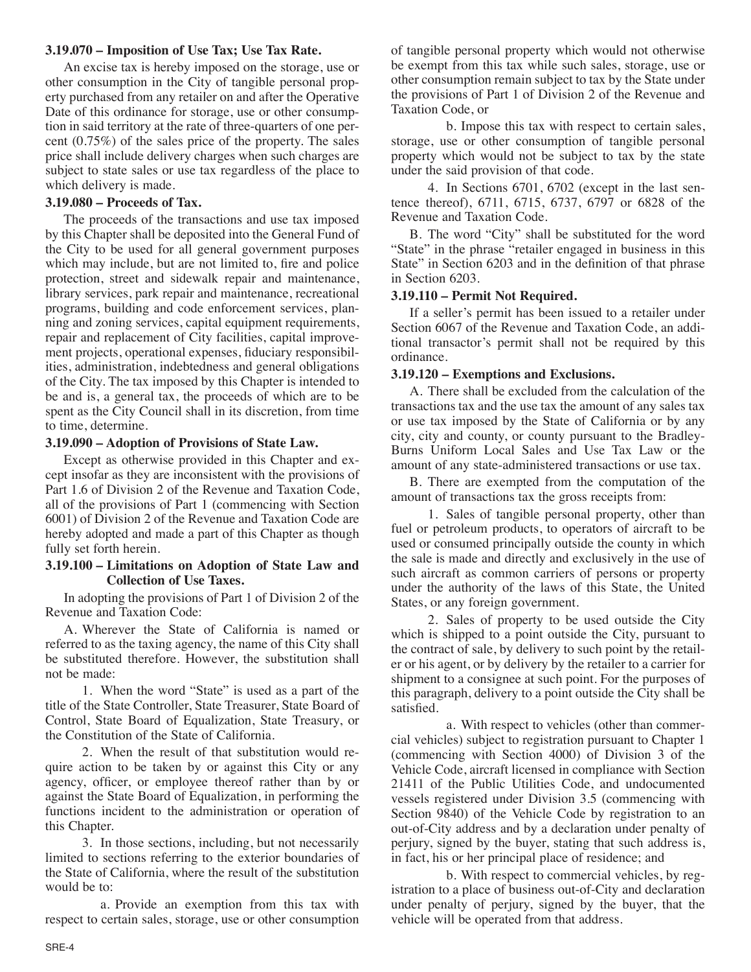### **3.19.070 – Imposition of Use Tax; Use Tax Rate.**

An excise tax is hereby imposed on the storage, use or other consumption in the City of tangible personal property purchased from any retailer on and after the Operative Date of this ordinance for storage, use or other consumption in said territory at the rate of three-quarters of one percent (0.75%) of the sales price of the property. The sales price shall include delivery charges when such charges are subject to state sales or use tax regardless of the place to which delivery is made.

## **3.19.080 – Proceeds of Tax.**

The proceeds of the transactions and use tax imposed by this Chapter shall be deposited into the General Fund of the City to be used for all general government purposes which may include, but are not limited to, fire and police protection, street and sidewalk repair and maintenance, library services, park repair and maintenance, recreational programs, building and code enforcement services, planning and zoning services, capital equipment requirements, repair and replacement of City facilities, capital improvement projects, operational expenses, fiduciary responsibilities, administration, indebtedness and general obligations of the City. The tax imposed by this Chapter is intended to be and is, a general tax, the proceeds of which are to be spent as the City Council shall in its discretion, from time to time, determine.

## **3.19.090 – Adoption of Provisions of State Law.**

Except as otherwise provided in this Chapter and except insofar as they are inconsistent with the provisions of Part 1.6 of Division 2 of the Revenue and Taxation Code, all of the provisions of Part 1 (commencing with Section 6001) of Division 2 of the Revenue and Taxation Code are hereby adopted and made a part of this Chapter as though fully set forth herein.

### **3.19.100 – Limitations on Adoption of State Law and Collection of Use Taxes.**

In adopting the provisions of Part 1 of Division 2 of the Revenue and Taxation Code:

A. Wherever the State of California is named or referred to as the taxing agency, the name of this City shall be substituted therefore. However, the substitution shall not be made:

1. When the word "State" is used as a part of the title of the State Controller, State Treasurer, State Board of Control, State Board of Equalization, State Treasury, or the Constitution of the State of California.

2. When the result of that substitution would require action to be taken by or against this City or any agency, officer, or employee thereof rather than by or against the State Board of Equalization, in performing the functions incident to the administration or operation of this Chapter.

3. In those sections, including, but not necessarily limited to sections referring to the exterior boundaries of the State of California, where the result of the substitution would be to:

a. Provide an exemption from this tax with respect to certain sales, storage, use or other consumption of tangible personal property which would not otherwise be exempt from this tax while such sales, storage, use or other consumption remain subject to tax by the State under the provisions of Part 1 of Division 2 of the Revenue and Taxation Code, or

b. Impose this tax with respect to certain sales, storage, use or other consumption of tangible personal property which would not be subject to tax by the state under the said provision of that code.

4. In Sections 6701, 6702 (except in the last sentence thereof), 6711, 6715, 6737, 6797 or 6828 of the Revenue and Taxation Code.

B. The word "City" shall be substituted for the word "State" in the phrase "retailer engaged in business in this State" in Section 6203 and in the definition of that phrase in Section 6203.

## **3.19.110 – Permit Not Required.**

If a seller's permit has been issued to a retailer under Section 6067 of the Revenue and Taxation Code, an additional transactor's permit shall not be required by this ordinance.

## **3.19.120 – Exemptions and Exclusions.**

A. There shall be excluded from the calculation of the transactions tax and the use tax the amount of any sales tax or use tax imposed by the State of California or by any city, city and county, or county pursuant to the Bradley-Burns Uniform Local Sales and Use Tax Law or the amount of any state-administered transactions or use tax.

B. There are exempted from the computation of the amount of transactions tax the gross receipts from:

1. Sales of tangible personal property, other than fuel or petroleum products, to operators of aircraft to be used or consumed principally outside the county in which the sale is made and directly and exclusively in the use of such aircraft as common carriers of persons or property under the authority of the laws of this State, the United States, or any foreign government.

2. Sales of property to be used outside the City which is shipped to a point outside the City, pursuant to the contract of sale, by delivery to such point by the retailer or his agent, or by delivery by the retailer to a carrier for shipment to a consignee at such point. For the purposes of this paragraph, delivery to a point outside the City shall be satisfied.

a. With respect to vehicles (other than commercial vehicles) subject to registration pursuant to Chapter 1 (commencing with Section 4000) of Division 3 of the Vehicle Code, aircraft licensed in compliance with Section 21411 of the Public Utilities Code, and undocumented vessels registered under Division 3.5 (commencing with Section 9840) of the Vehicle Code by registration to an out-of-City address and by a declaration under penalty of perjury, signed by the buyer, stating that such address is, in fact, his or her principal place of residence; and

b. With respect to commercial vehicles, by registration to a place of business out-of-City and declaration under penalty of perjury, signed by the buyer, that the vehicle will be operated from that address.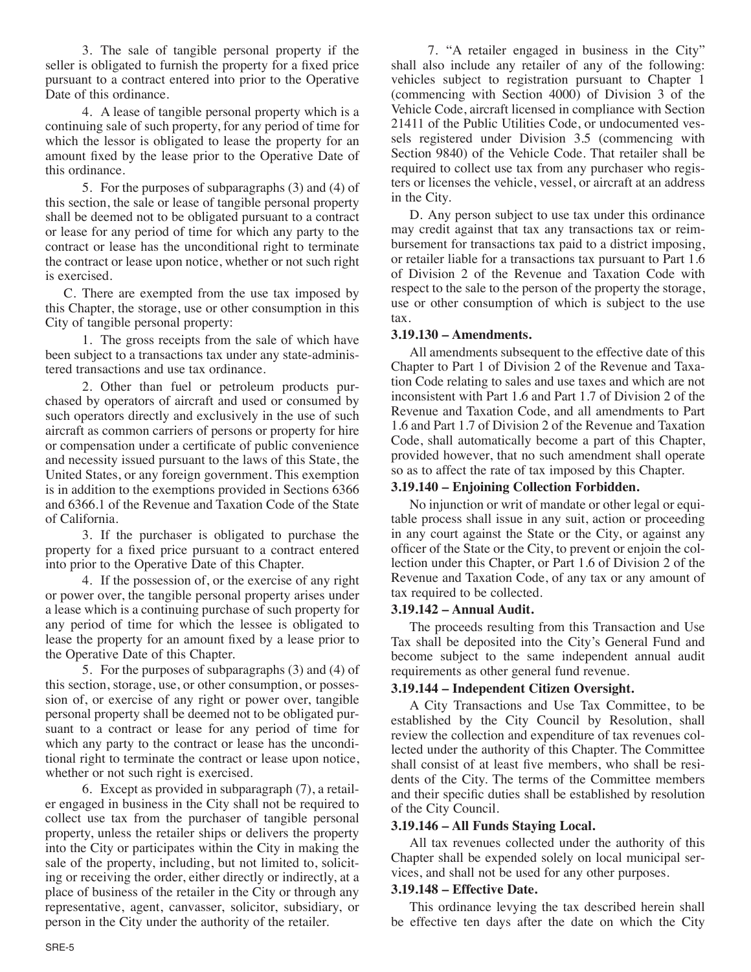3. The sale of tangible personal property if the seller is obligated to furnish the property for a fixed price pursuant to a contract entered into prior to the Operative Date of this ordinance.

4. A lease of tangible personal property which is a continuing sale of such property, for any period of time for which the lessor is obligated to lease the property for an amount fixed by the lease prior to the Operative Date of this ordinance.

5. For the purposes of subparagraphs (3) and (4) of this section, the sale or lease of tangible personal property shall be deemed not to be obligated pursuant to a contract or lease for any period of time for which any party to the contract or lease has the unconditional right to terminate the contract or lease upon notice, whether or not such right is exercised.

C. There are exempted from the use tax imposed by this Chapter, the storage, use or other consumption in this City of tangible personal property:

1. The gross receipts from the sale of which have been subject to a transactions tax under any state-administered transactions and use tax ordinance.

2. Other than fuel or petroleum products purchased by operators of aircraft and used or consumed by such operators directly and exclusively in the use of such aircraft as common carriers of persons or property for hire or compensation under a certificate of public convenience and necessity issued pursuant to the laws of this State, the United States, or any foreign government. This exemption is in addition to the exemptions provided in Sections 6366 and 6366.1 of the Revenue and Taxation Code of the State of California.

3. If the purchaser is obligated to purchase the property for a fixed price pursuant to a contract entered into prior to the Operative Date of this Chapter.

4. If the possession of, or the exercise of any right or power over, the tangible personal property arises under a lease which is a continuing purchase of such property for any period of time for which the lessee is obligated to lease the property for an amount fixed by a lease prior to the Operative Date of this Chapter.

5. For the purposes of subparagraphs (3) and (4) of this section, storage, use, or other consumption, or possession of, or exercise of any right or power over, tangible personal property shall be deemed not to be obligated pursuant to a contract or lease for any period of time for which any party to the contract or lease has the unconditional right to terminate the contract or lease upon notice, whether or not such right is exercised.

6. Except as provided in subparagraph (7), a retailer engaged in business in the City shall not be required to collect use tax from the purchaser of tangible personal property, unless the retailer ships or delivers the property into the City or participates within the City in making the sale of the property, including, but not limited to, soliciting or receiving the order, either directly or indirectly, at a place of business of the retailer in the City or through any representative, agent, canvasser, solicitor, subsidiary, or person in the City under the authority of the retailer.

7. "A retailer engaged in business in the City" shall also include any retailer of any of the following: vehicles subject to registration pursuant to Chapter 1 (commencing with Section 4000) of Division 3 of the Vehicle Code, aircraft licensed in compliance with Section 21411 of the Public Utilities Code, or undocumented vessels registered under Division 3.5 (commencing with Section 9840) of the Vehicle Code. That retailer shall be required to collect use tax from any purchaser who registers or licenses the vehicle, vessel, or aircraft at an address in the City.

D. Any person subject to use tax under this ordinance may credit against that tax any transactions tax or reimbursement for transactions tax paid to a district imposing, or retailer liable for a transactions tax pursuant to Part 1.6 of Division 2 of the Revenue and Taxation Code with respect to the sale to the person of the property the storage, use or other consumption of which is subject to the use tax.

## **3.19.130 – Amendments.**

All amendments subsequent to the effective date of this Chapter to Part 1 of Division 2 of the Revenue and Taxation Code relating to sales and use taxes and which are not inconsistent with Part 1.6 and Part 1.7 of Division 2 of the Revenue and Taxation Code, and all amendments to Part 1.6 and Part 1.7 of Division 2 of the Revenue and Taxation Code, shall automatically become a part of this Chapter, provided however, that no such amendment shall operate so as to affect the rate of tax imposed by this Chapter.

## **3.19.140 – Enjoining Collection Forbidden.**

No injunction or writ of mandate or other legal or equitable process shall issue in any suit, action or proceeding in any court against the State or the City, or against any officer of the State or the City, to prevent or enjoin the collection under this Chapter, or Part 1.6 of Division 2 of the Revenue and Taxation Code, of any tax or any amount of tax required to be collected.

### **3.19.142 – Annual Audit.**

The proceeds resulting from this Transaction and Use Tax shall be deposited into the City's General Fund and become subject to the same independent annual audit requirements as other general fund revenue.

## **3.19.144 – Independent Citizen Oversight.**

A City Transactions and Use Tax Committee, to be established by the City Council by Resolution, shall review the collection and expenditure of tax revenues collected under the authority of this Chapter. The Committee shall consist of at least five members, who shall be residents of the City. The terms of the Committee members and their specific duties shall be established by resolution of the City Council.

### **3.19.146 – All Funds Staying Local.**

All tax revenues collected under the authority of this Chapter shall be expended solely on local municipal services, and shall not be used for any other purposes.

## **3.19.148 – Effective Date.**

This ordinance levying the tax described herein shall be effective ten days after the date on which the City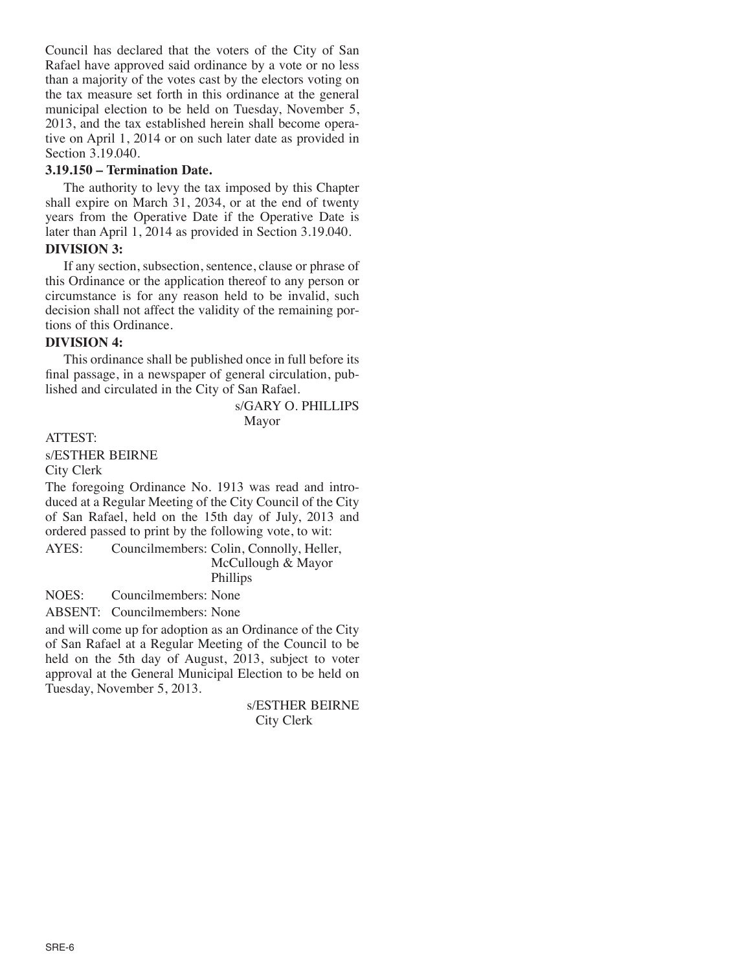Council has declared that the voters of the City of San Rafael have approved said ordinance by a vote or no less than a majority of the votes cast by the electors voting on the tax measure set forth in this ordinance at the general municipal election to be held on Tuesday, November 5, 2013, and the tax established herein shall become operative on April 1, 2014 or on such later date as provided in Section 3.19.040.

## **3.19.150 – Termination Date.**

The authority to levy the tax imposed by this Chapter shall expire on March 31, 2034, or at the end of twenty years from the Operative Date if the Operative Date is later than April 1, 2014 as provided in Section 3.19.040.

# **DIVISION 3:**

If any section, subsection, sentence, clause or phrase of this Ordinance or the application thereof to any person or circumstance is for any reason held to be invalid, such decision shall not affect the validity of the remaining portions of this Ordinance.

### **DIVISION 4:**

This ordinance shall be published once in full before its final passage, in a newspaper of general circulation, published and circulated in the City of San Rafael.

> s/GARY O. PHILLIPS Mayor

ATTEST:

s/ESTHER BEIRNE

City Clerk

The foregoing Ordinance No. 1913 was read and introduced at a Regular Meeting of the City Council of the City of San Rafael, held on the 15th day of July, 2013 and ordered passed to print by the following vote, to wit:

AYES: Councilmembers: Colin, Connolly, Heller, McCullough & Mayor Phillips

NOES: Councilmembers: None

ABSENT: Councilmembers: None

and will come up for adoption as an Ordinance of the City of San Rafael at a Regular Meeting of the Council to be held on the 5th day of August, 2013, subject to voter approval at the General Municipal Election to be held on Tuesday, November 5, 2013.

> s/ESTHER BEIRNE City Clerk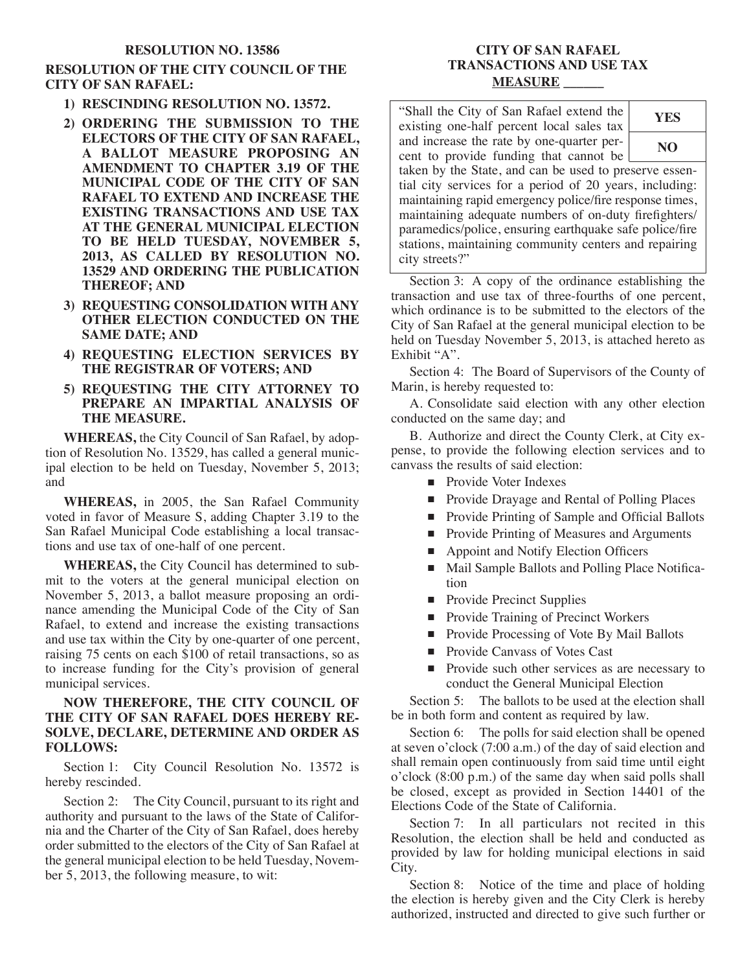#### **RESOLUTION NO. 13586**

## **RESOLUTION OF THE CITY COUNCIL OF THE CITY OF SAN RAFAEL:**

- **1) RESCINDING RESOLUTION NO. 13572.**
- **2) ORDERING THE SUBMISSION TO THE ELECTORS OF THE CITY OF SAN RAFAEL, A BALLOT MEASURE PROPOSING AN AMENDMENT TO CHAPTER 3.19 OF THE MUNICIPAL CODE OF THE CITY OF SAN RAFAEL TO EXTEND AND INCREASE THE EXISTING TRANSACTIONS AND USE TAX AT THE GENERAL MUNICIPAL ELECTION TO BE HELD TUESDAY, NOVEMBER 5, 2013, AS CALLED BY RESOLUTION NO. 13529 AND ORDERING THE PUBLICATION THEREOF; AND**
- **3) REQUESTING CONSOLIDATION WITH ANY OTHER ELECTION CONDUCTED ON THE SAME DATE; AND**
- **4) REQUESTING ELECTION SERVICES BY THE REGISTRAR OF VOTERS; AND**
- **5) REQUESTING THE CITY ATTORNEY TO PREPARE AN IMPARTIAL ANALYSIS OF THE MEASURE.**

**WHEREAS,** the City Council of San Rafael, by adoption of Resolution No. 13529, has called a general municipal election to be held on Tuesday, November 5, 2013; and

**WHEREAS,** in 2005, the San Rafael Community voted in favor of Measure S, adding Chapter 3.19 to the San Rafael Municipal Code establishing a local transactions and use tax of one-half of one percent.

**WHEREAS,** the City Council has determined to submit to the voters at the general municipal election on November 5, 2013, a ballot measure proposing an ordinance amending the Municipal Code of the City of San Rafael, to extend and increase the existing transactions and use tax within the City by one-quarter of one percent, raising 75 cents on each \$100 of retail transactions, so as to increase funding for the City's provision of general municipal services.

### **NOW THEREFORE, THE CITY COUNCIL OF THE CITY OF SAN RAFAEL DOES HEREBY RE-SOLVE, DECLARE, DETERMINE AND ORDER AS FOLLOWS:**

Section 1: City Council Resolution No. 13572 is hereby rescinded.

Section 2: The City Council, pursuant to its right and authority and pursuant to the laws of the State of California and the Charter of the City of San Rafael, does hereby order submitted to the electors of the City of San Rafael at the general municipal election to be held Tuesday, November 5, 2013, the following measure, to wit:

## **CITY OF SAN RAFAEL TRANSACTIONS AND USE TAX MEASURE \_\_\_\_\_\_**

"Shall the City of San Rafael extend the existing one-half percent local sales tax and increase the rate by one-quarter percent to provide funding that cannot be taken by the State, and can be used to preserve essential city services for a period of 20 years, including: maintaining rapid emergency police/fire response times, maintaining adequate numbers of on-duty firefighters/ paramedics/police, ensuring earthquake safe police/fire stations, maintaining community centers and repairing **YES NO**

Section 3: A copy of the ordinance establishing the transaction and use tax of three-fourths of one percent, which ordinance is to be submitted to the electors of the City of San Rafael at the general municipal election to be held on Tuesday November 5, 2013, is attached hereto as Exhibit "A".

Section 4: The Board of Supervisors of the County of Marin, is hereby requested to:

A. Consolidate said election with any other election conducted on the same day; and

B. Authorize and direct the County Clerk, at City expense, to provide the following election services and to canvass the results of said election:

**Provide Voter Indexes** 

city streets?"

- **Provide Drayage and Rental of Polling Places**
- **Provide Printing of Sample and Official Ballots**
- **Provide Printing of Measures and Arguments**
- Appoint and Notify Election Officers
- Mail Sample Ballots and Polling Place Notification
- **Provide Precinct Supplies**
- **Provide Training of Precinct Workers**
- **Provide Processing of Vote By Mail Ballots**
- Provide Canvass of Votes Cast
- **Provide such other services as are necessary to** conduct the General Municipal Election

Section 5: The ballots to be used at the election shall be in both form and content as required by law.

Section 6: The polls for said election shall be opened at seven o'clock (7:00 a.m.) of the day of said election and shall remain open continuously from said time until eight o'clock (8:00 p.m.) of the same day when said polls shall be closed, except as provided in Section 14401 of the Elections Code of the State of California.

Section 7: In all particulars not recited in this Resolution, the election shall be held and conducted as provided by law for holding municipal elections in said City.

Section 8: Notice of the time and place of holding the election is hereby given and the City Clerk is hereby authorized, instructed and directed to give such further or